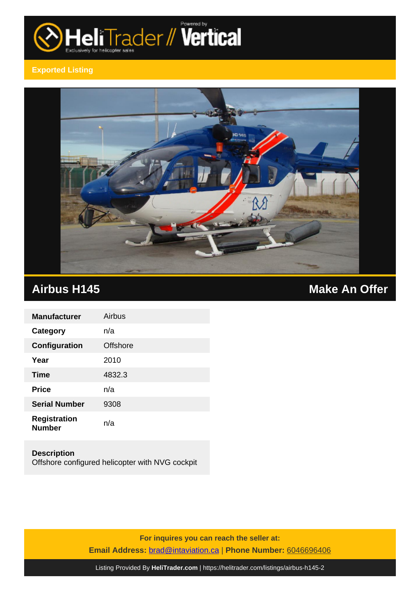

## **Exported Listing**



| <b>Manufacturer</b>                  | Airbus   |
|--------------------------------------|----------|
| Category                             | n/a      |
| Configuration                        | Offshore |
| Year                                 | 2010     |
| <b>Time</b>                          | 4832.3   |
| <b>Price</b>                         | n/a      |
| <b>Serial Number</b>                 | 9308     |
| <b>Registration</b><br><b>Number</b> | n/a      |

**Description** Offshore configured helicopter with NVG cockpit

> **For inquires you can reach the seller at: Email Address:** [brad@intaviation.ca](mailto:brad@intaviation.ca,) | **Phone Number:** 6046696406

Listing Provided By **[HeliTrader.com](https://helitrader.com)** | <https://helitrader.com/listings/airbus-h145-2>

# **Airbus H145 Make An Offer**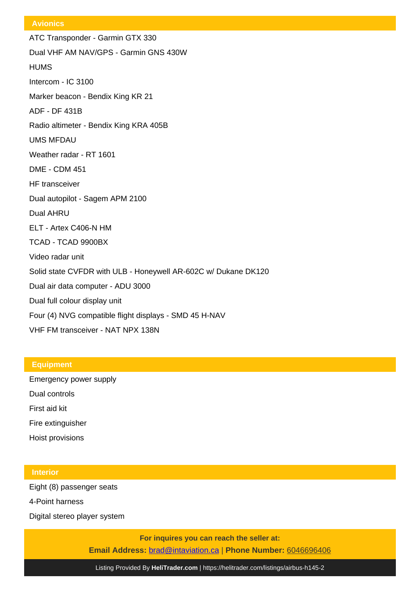#### **Avionics**

ATC Transponder - Garmin GTX 330 Dual VHF AM NAV/GPS - Garmin GNS 430W **HUMS** Intercom - IC 3100 Marker beacon - Bendix King KR 21 ADF - DF 431B Radio altimeter - Bendix King KRA 405B UMS MFDAU Weather radar - RT 1601 DME - CDM 451 HF transceiver Dual autopilot - Sagem APM 2100 Dual AHRU ELT - Artex C406-N HM TCAD - TCAD 9900BX Video radar unit Solid state CVFDR with ULB - Honeywell AR-602C w/ Dukane DK120 Dual air data computer - ADU 3000 Dual full colour display unit Four (4) NVG compatible flight displays - SMD 45 H-NAV VHF FM transceiver - NAT NPX 138N

### **Equipment**

Emergency power supply Dual controls First aid kit

Fire extinguisher

Hoist provisions

#### **Interior**

Eight (8) passenger seats

4-Point harness

Digital stereo player system

**For inquires you can reach the seller at: Email Address:** [brad@intaviation.ca](mailto:brad@intaviation.ca,) | **Phone Number:** 6046696406

Listing Provided By **[HeliTrader.com](https://helitrader.com)** | <https://helitrader.com/listings/airbus-h145-2>